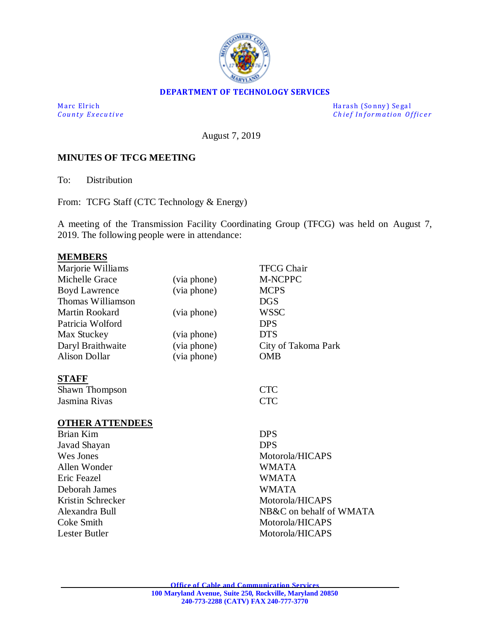

### **DEPARTMENT OF TECHNOLOGY SERVICES**

M a rc El rich Harash (Sonny) Segal<br>
County Executive Chief Information Of *Chief Information Officer* 

August 7, 2019

#### **MINUTES OF TFCG MEETING**

To: Distribution

From: TCFG Staff (CTC Technology & Energy)

A meeting of the Transmission Facility Coordinating Group (TFCG) was held on August 7, 2019. The following people were in attendance:

# **MEMBERS**

|             | <b>TFCG Chair</b>       |
|-------------|-------------------------|
| (via phone) | M-NCPPC                 |
| (via phone) | <b>MCPS</b>             |
|             | <b>DGS</b>              |
| (via phone) | <b>WSSC</b>             |
|             | <b>DPS</b>              |
| (via phone) | <b>DTS</b>              |
| (via phone) | City of Takoma Park     |
| (via phone) | <b>OMB</b>              |
|             |                         |
|             | <b>CTC</b>              |
|             | <b>CTC</b>              |
|             |                         |
|             | <b>DPS</b>              |
|             | <b>DPS</b>              |
|             | Motorola/HICAPS         |
|             | <b>WMATA</b>            |
|             | <b>WMATA</b>            |
|             | <b>WMATA</b>            |
|             | Motorola/HICAPS         |
|             | NB&C on behalf of WMATA |
|             | Motorola/HICAPS         |
|             | Motorola/HICAPS         |
|             |                         |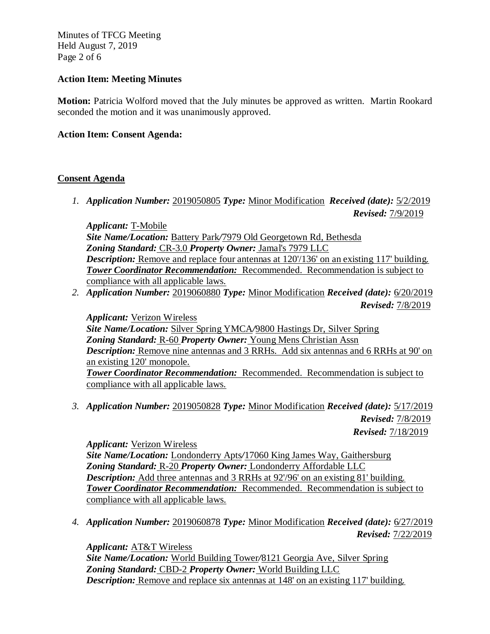Minutes of TFCG Meeting Held August 7, 2019 Page 2 of 6

## **Action Item: Meeting Minutes**

**Motion:** Patricia Wolford moved that the July minutes be approved as written. Martin Rookard seconded the motion and it was unanimously approved.

## **Action Item: Consent Agenda:**

## **Consent Agenda**

*1. Application Number:* 2019050805 *Type:* Minor Modification *Received (date):* 5/2/2019 *Revised:* 7/9/2019

*Applicant:* T-Mobile *Site Name/Location:* Battery Park*/*7979 Old Georgetown Rd, Bethesda *Zoning Standard:* CR-3.0 *Property Owner:* Jamal's 7979 LLC *Description:* Remove and replace four antennas at 120/136' on an existing 117' building. *Tower Coordinator Recommendation:* Recommended. Recommendation is subject to compliance with all applicable laws.

*2. Application Number:* 2019060880 *Type:* Minor Modification *Received (date):* 6/20/2019 *Revised:* 7/8/2019

*Applicant:* Verizon Wireless *Site Name/Location:* Silver Spring YMCA*/*9800 Hastings Dr, Silver Spring *Zoning Standard:* R-60 *Property Owner:* Young Mens Christian Assn *Description:* Remove nine antennas and 3 RRHs. Add six antennas and 6 RRHs at 90' on an existing 120' monopole. *Tower Coordinator Recommendation:* Recommended. Recommendation is subject to compliance with all applicable laws.

*3. Application Number:* 2019050828 *Type:* Minor Modification *Received (date):* 5/17/2019 *Revised:* 7/8/2019

*Revised:* 7/18/2019

### *Applicant:* Verizon Wireless

*Site Name/Location:* Londonderry Apts*/*17060 King James Way, Gaithersburg *Zoning Standard:* R-20 *Property Owner:* Londonderry Affordable LLC *Description:* Add three antennas and 3 RRHs at 92'/96' on an existing 81' building. *Tower Coordinator Recommendation:* Recommended. Recommendation is subject to compliance with all applicable laws.

*4. Application Number:* 2019060878 *Type:* Minor Modification *Received (date):* 6/27/2019 *Revised:* 7/22/2019

*Applicant:* AT&T Wireless

*Site Name/Location:* World Building Tower*/*8121 Georgia Ave, Silver Spring *Zoning Standard:* CBD-2 *Property Owner:* World Building LLC *Description:* Remove and replace six antennas at 148' on an existing 117' building.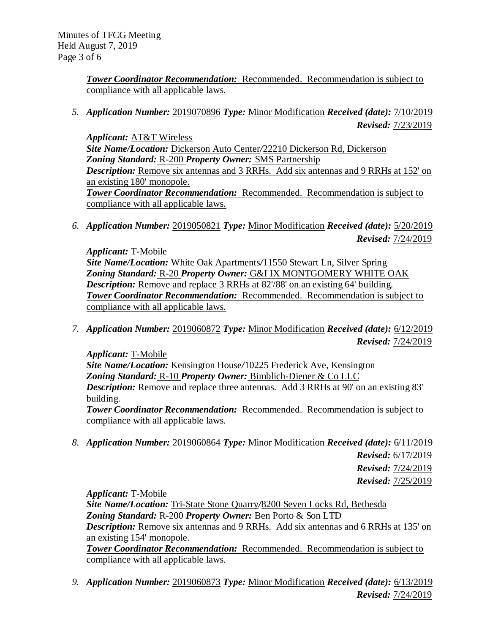*Tower Coordinator Recommendation:* Recommended. Recommendation is subject to compliance with all applicable laws.

*5. Application Number:* 2019070896 *Type:* Minor Modification *Received (date):* 7/10/2019 *Revised:* 7/23/2019

*Applicant:* AT&T Wireless *Site Name/Location:* Dickerson Auto Center*/*22210 Dickerson Rd, Dickerson *Zoning Standard:* R-200 *Property Owner:* SMS Partnership *Description:* Remove six antennas and 3 RRHs. Add six antennas and 9 RRHs at 152' on an existing 180' monopole. *Tower Coordinator Recommendation:* Recommended. Recommendation is subject to compliance with all applicable laws.

*6. Application Number:* 2019050821 *Type:* Minor Modification *Received (date):* 5/20/2019 *Revised:* 7/24/2019

*Applicant:* T-Mobile *Site Name/Location:* White Oak Apartments*/*11550 Stewart Ln, Silver Spring *Zoning Standard:* R-20 *Property Owner:* G&I IX MONTGOMERY WHITE OAK *Description:* Remove and replace 3 RRHs at 82'/88' on an existing 64' building. *Tower Coordinator Recommendation:* Recommended. Recommendation is subject to compliance with all applicable laws.

*7. Application Number:* 2019060872 *Type:* Minor Modification *Received (date):* 6/12/2019 *Revised:* 7/24/2019

*Applicant:* T-Mobile *Site Name/Location:* Kensington House*/*10225 Frederick Ave, Kensington *Zoning Standard:* R-10 *Property Owner:* Bimblich-Diener & Co LLC *Description:* Remove and replace three antennas. Add 3 RRHs at 90' on an existing 83' building. *Tower Coordinator Recommendation:* Recommended. Recommendation is subject to

compliance with all applicable laws.

*8. Application Number:* 2019060864 *Type:* Minor Modification *Received (date):* 6/11/2019 *Revised:* 6/17/2019 *Revised:* 7/24/2019

*Revised:* 7/25/2019

*Applicant:* T-Mobile

*Site Name/Location:* Tri-State Stone Quarry*/*8200 Seven Locks Rd, Bethesda *Zoning Standard:* R-200 *Property Owner:* Ben Porto & Son LTD *Description:* Remove six antennas and 9 RRHs. Add six antennas and 6 RRHs at 135' on an existing 154' monopole. *Tower Coordinator Recommendation:* Recommended. Recommendation is subject to

compliance with all applicable laws.

*9. Application Number:* 2019060873 *Type:* Minor Modification *Received (date):* 6/13/2019 *Revised:* 7/24/2019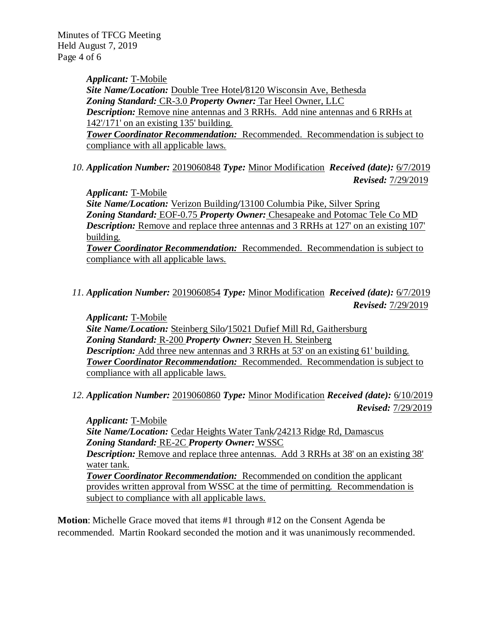Minutes of TFCG Meeting Held August 7, 2019 Page 4 of 6

> *Applicant:* T-Mobile *Site Name/Location:* Double Tree Hotel*/*8120 Wisconsin Ave, Bethesda *Zoning Standard:* CR-3.0 *Property Owner:* Tar Heel Owner, LLC *Description:* Remove nine antennas and 3 RRHs. Add nine antennas and 6 RRHs at 142'/171' on an existing 135' building. *Tower Coordinator Recommendation:* Recommended. Recommendation is subject to compliance with all applicable laws.

*10. Application Number:* 2019060848 *Type:* Minor Modification *Received (date):* 6/7/2019 *Revised:* 7/29/2019

*Applicant:* T-Mobile

*Site Name/Location:* Verizon Building*/*13100 Columbia Pike, Silver Spring *Zoning Standard:* EOF-0.75 *Property Owner:* Chesapeake and Potomac Tele Co MD *Description:* Remove and replace three antennas and 3 RRHs at 127' on an existing 107' building. *Tower Coordinator Recommendation:* Recommended. Recommendation is subject to

compliance with all applicable laws.

*11. Application Number:* 2019060854 *Type:* Minor Modification *Received (date):* 6/7/2019 *Revised:* 7/29/2019

*Applicant:* T-Mobile *Site Name/Location:* Steinberg Silo*/*15021 Dufief Mill Rd, Gaithersburg *Zoning Standard:* R-200 *Property Owner:* Steven H. Steinberg *Description:* Add three new antennas and 3 RRHs at 53' on an existing 61' building. *Tower Coordinator Recommendation:* Recommended. Recommendation is subject to compliance with all applicable laws.

*12. Application Number:* 2019060860 *Type:* Minor Modification *Received (date):* 6/10/2019 *Revised:* 7/29/2019

*Applicant:* T-Mobile *Site Name/Location:* Cedar Heights Water Tank*/*24213 Ridge Rd, Damascus *Zoning Standard:* RE-2C *Property Owner:* WSSC *Description:* Remove and replace three antennas. Add 3 RRHs at 38' on an existing 38'

water tank.

*Tower Coordinator Recommendation:* Recommended on condition the applicant provides written approval from WSSC at the time of permitting. Recommendation is subject to compliance with all applicable laws.

**Motion**: Michelle Grace moved that items #1 through #12 on the Consent Agenda be recommended. Martin Rookard seconded the motion and it was unanimously recommended.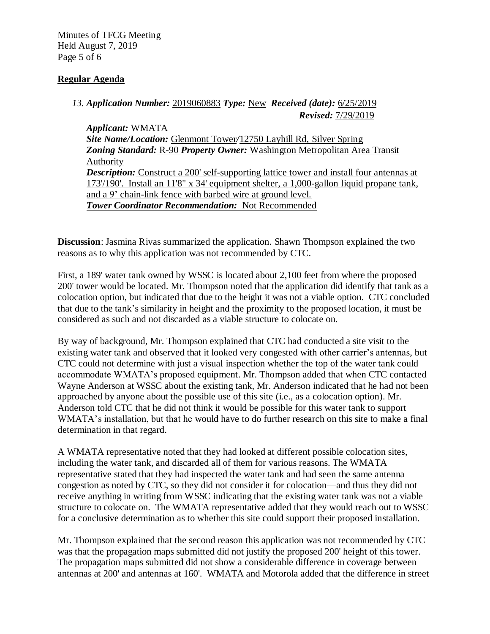Minutes of TFCG Meeting Held August 7, 2019 Page 5 of 6

# **Regular Agenda**

# *13. Application Number:* 2019060883 *Type:* New *Received (date):* 6/25/2019 *Revised:* 7/29/2019

*Applicant:* WMATA *Site Name/Location:* Glenmont Tower*/*12750 Layhill Rd, Silver Spring *Zoning Standard:* R-90 *Property Owner:* Washington Metropolitan Area Transit Authority *Description:* Construct a 200' self-supporting lattice tower and install four antennas at 173'/190'. Install an 11'8" x 34' equipment shelter, a 1,000-gallon liquid propane tank, and a 9' chain-link fence with barbed wire at ground level. *Tower Coordinator Recommendation:* Not Recommended

**Discussion**: Jasmina Rivas summarized the application. Shawn Thompson explained the two reasons as to why this application was not recommended by CTC.

First, a 189' water tank owned by WSSC is located about 2,100 feet from where the proposed 200' tower would be located. Mr. Thompson noted that the application did identify that tank as a colocation option, but indicated that due to the height it was not a viable option. CTC concluded that due to the tank's similarity in height and the proximity to the proposed location, it must be considered as such and not discarded as a viable structure to colocate on.

By way of background, Mr. Thompson explained that CTC had conducted a site visit to the existing water tank and observed that it looked very congested with other carrier's antennas, but CTC could not determine with just a visual inspection whether the top of the water tank could accommodate WMATA's proposed equipment. Mr. Thompson added that when CTC contacted Wayne Anderson at WSSC about the existing tank, Mr. Anderson indicated that he had not been approached by anyone about the possible use of this site (i.e., as a colocation option). Mr. Anderson told CTC that he did not think it would be possible for this water tank to support WMATA's installation, but that he would have to do further research on this site to make a final determination in that regard.

A WMATA representative noted that they had looked at different possible colocation sites, including the water tank, and discarded all of them for various reasons. The WMATA representative stated that they had inspected the water tank and had seen the same antenna congestion as noted by CTC, so they did not consider it for colocation—and thus they did not receive anything in writing from WSSC indicating that the existing water tank was not a viable structure to colocate on. The WMATA representative added that they would reach out to WSSC for a conclusive determination as to whether this site could support their proposed installation.

Mr. Thompson explained that the second reason this application was not recommended by CTC was that the propagation maps submitted did not justify the proposed 200' height of this tower. The propagation maps submitted did not show a considerable difference in coverage between antennas at 200' and antennas at 160'. WMATA and Motorola added that the difference in street